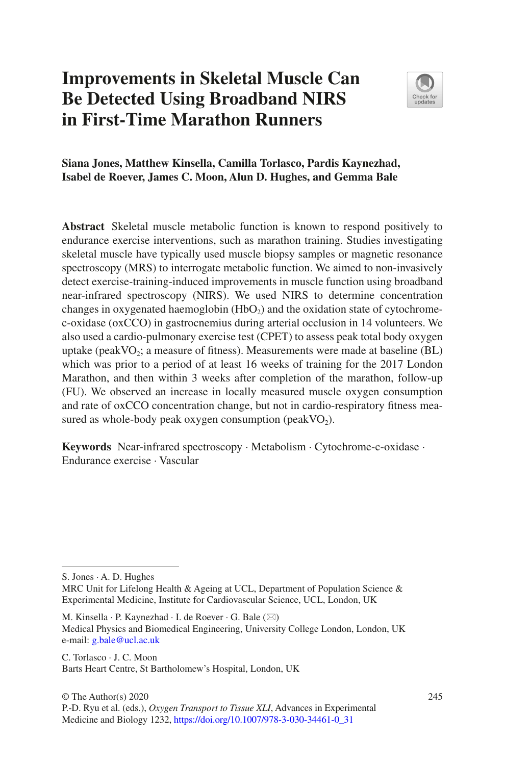# **Improvements in Skeletal Muscle Can Be Detected Using Broadband NIRS in First-Time Marathon Runners**



## **Siana Jones, Matthew Kinsella, Camilla Torlasco, Pardis Kaynezhad, Isabel de Roever, James C. Moon, Alun D. Hughes, and Gemma Bale**

**Abstract** Skeletal muscle metabolic function is known to respond positively to endurance exercise interventions, such as marathon training. Studies investigating skeletal muscle have typically used muscle biopsy samples or magnetic resonance spectroscopy (MRS) to interrogate metabolic function. We aimed to non-invasively detect exercise-training-induced improvements in muscle function using broadband near-infrared spectroscopy (NIRS). We used NIRS to determine concentration changes in oxygenated haemoglobin  $(HbO<sub>2</sub>)$  and the oxidation state of cytochromec-oxidase (oxCCO) in gastrocnemius during arterial occlusion in 14 volunteers. We also used a cardio-pulmonary exercise test (CPET) to assess peak total body oxygen uptake (peak  $VO_2$ ; a measure of fitness). Measurements were made at baseline (BL) which was prior to a period of at least 16 weeks of training for the 2017 London Marathon, and then within 3 weeks after completion of the marathon, follow-up (FU). We observed an increase in locally measured muscle oxygen consumption and rate of oxCCO concentration change, but not in cardio-respiratory fitness measured as whole-body peak oxygen consumption (peak  $VO<sub>2</sub>$ ).

**Keywords** Near-infrared spectroscopy · Metabolism · Cytochrome-c-oxidase · Endurance exercise · Vascular

S. Jones · A. D. Hughes

MRC Unit for Lifelong Health  $\&$  Ageing at UCL, Department of Population Science  $\&$ Experimental Medicine, Institute for Cardiovascular Science, UCL, London, UK

M. Kinsella  $\cdot$  P. Kaynezhad  $\cdot$  I. de Roever  $\cdot$  G. Bale ( $\boxtimes$ ) Medical Physics and Biomedical Engineering, University College London, London, UK e-mail: [g.bale@ucl.ac.uk](mailto:g.bale@ucl.ac.uk)

C. Torlasco · J. C. Moon Barts Heart Centre, St Bartholomew's Hospital, London, UK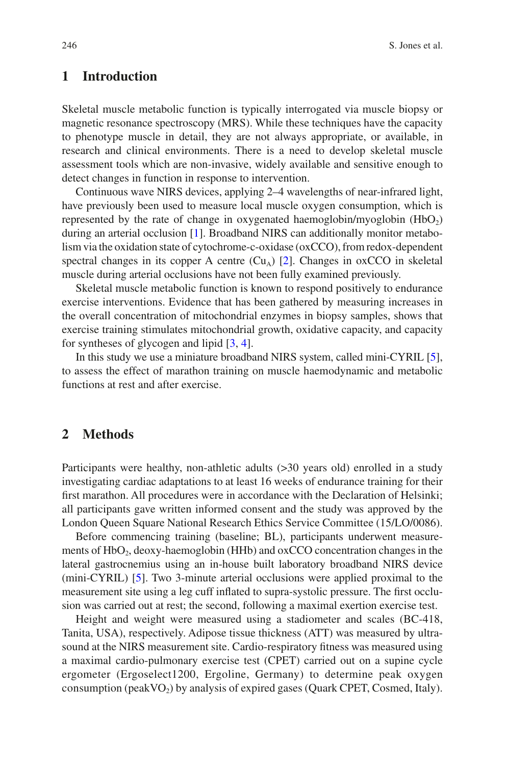# **1 Introduction**

Skeletal muscle metabolic function is typically interrogated via muscle biopsy or magnetic resonance spectroscopy (MRS). While these techniques have the capacity to phenotype muscle in detail, they are not always appropriate, or available, in research and clinical environments. There is a need to develop skeletal muscle assessment tools which are non-invasive, widely available and sensitive enough to detect changes in function in response to intervention.

Continuous wave NIRS devices, applying 2–4 wavelengths of near-infrared light, have previously been used to measure local muscle oxygen consumption, which is represented by the rate of change in oxygenated haemoglobin/myoglobin  $(HbO<sub>2</sub>)$ during an arterial occlusion [[1](#page-5-0)]. Broadband NIRS can additionally monitor metabolism via the oxidation state of cytochrome-c-oxidase (oxCCO), from redox-dependent spectral changes in its copper A centre  $(Cu<sub>A</sub>)$  [\[2](#page-5-1)]. Changes in oxCCO in skeletal muscle during arterial occlusions have not been fully examined previously.

Skeletal muscle metabolic function is known to respond positively to endurance exercise interventions. Evidence that has been gathered by measuring increases in the overall concentration of mitochondrial enzymes in biopsy samples, shows that exercise training stimulates mitochondrial growth, oxidative capacity, and capacity for syntheses of glycogen and lipid [[3,](#page-5-2) [4\]](#page-5-3).

In this study we use a miniature broadband NIRS system, called mini-CYRIL [[5\]](#page-5-4), to assess the effect of marathon training on muscle haemodynamic and metabolic functions at rest and after exercise.

#### **2 Methods**

Participants were healthy, non-athletic adults (>30 years old) enrolled in a study investigating cardiac adaptations to at least 16 weeks of endurance training for their first marathon. All procedures were in accordance with the Declaration of Helsinki; all participants gave written informed consent and the study was approved by the London Queen Square National Research Ethics Service Committee (15/LO/0086).

Before commencing training (baseline; BL), participants underwent measurements of HbO<sub>2</sub>, deoxy-haemoglobin (HHb) and oxCCO concentration changes in the lateral gastrocnemius using an in-house built laboratory broadband NIRS device (mini-CYRIL) [\[5](#page-5-4)]. Two 3-minute arterial occlusions were applied proximal to the measurement site using a leg cuff inflated to supra-systolic pressure. The first occlusion was carried out at rest; the second, following a maximal exertion exercise test.

Height and weight were measured using a stadiometer and scales (BC-418, Tanita, USA), respectively. Adipose tissue thickness (ATT) was measured by ultrasound at the NIRS measurement site. Cardio-respiratory fitness was measured using a maximal cardio-pulmonary exercise test (CPET) carried out on a supine cycle ergometer (Ergoselect1200, Ergoline, Germany) to determine peak oxygen consumption (peak  $VO<sub>2</sub>$ ) by analysis of expired gases (Quark CPET, Cosmed, Italy).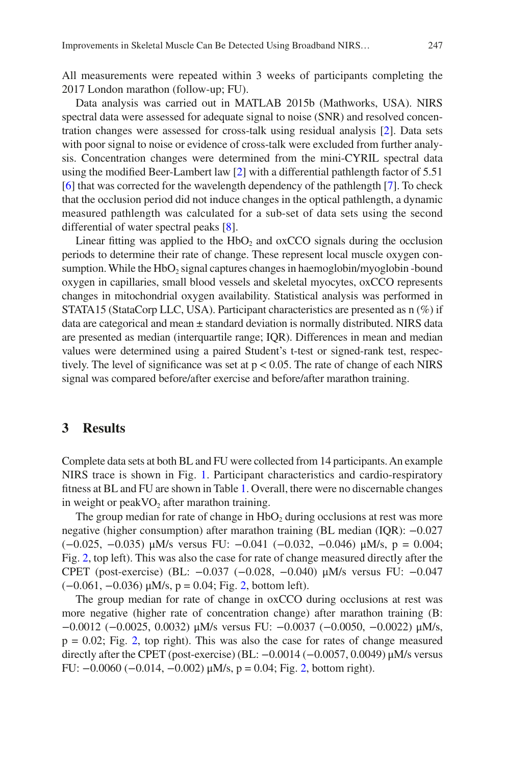All measurements were repeated within 3 weeks of participants completing the 2017 London marathon (follow-up; FU).

Data analysis was carried out in MATLAB 2015b (Mathworks, USA). NIRS spectral data were assessed for adequate signal to noise (SNR) and resolved concentration changes were assessed for cross-talk using residual analysis [\[2](#page-5-1)]. Data sets with poor signal to noise or evidence of cross-talk were excluded from further analysis. Concentration changes were determined from the mini-CYRIL spectral data using the modified Beer-Lambert law [\[2](#page-5-1)] with a differential pathlength factor of 5.51 [\[6](#page-5-5)] that was corrected for the wavelength dependency of the pathlength [\[7](#page-6-0)]. To check that the occlusion period did not induce changes in the optical pathlength, a dynamic measured pathlength was calculated for a sub-set of data sets using the second differential of water spectral peaks [[8\]](#page-6-1).

Linear fitting was applied to the  $HbO<sub>2</sub>$  and  $\alpha$   $\alpha$  CCO signals during the occlusion periods to determine their rate of change. These represent local muscle oxygen consumption. While the  $HbO<sub>2</sub>$  signal captures changes in haemoglobin/myoglobin -bound oxygen in capillaries, small blood vessels and skeletal myocytes, oxCCO represents changes in mitochondrial oxygen availability. Statistical analysis was performed in STATA15 (StataCorp LLC, USA). Participant characteristics are presented as n (%) if data are categorical and mean  $\pm$  standard deviation is normally distributed. NIRS data are presented as median (interquartile range; IQR). Differences in mean and median values were determined using a paired Student's t-test or signed-rank test, respectively. The level of significance was set at  $p < 0.05$ . The rate of change of each NIRS signal was compared before/after exercise and before/after marathon training.

#### **3 Results**

Complete data sets at both BL and FU were collected from 14 participants. An example NIRS trace is shown in Fig. [1.](#page-3-0) Participant characteristics and cardio-respiratory fitness at BL and FU are shown in Table [1](#page-3-1). Overall, there were no discernable changes in weight or peak  $VO<sub>2</sub>$  after marathon training.

The group median for rate of change in  $HbO<sub>2</sub>$  during occlusions at rest was more negative (higher consumption) after marathon training (BL median (IQR): −0.027 (−0.025, −0.035) μM/s versus FU: −0.041 (−0.032, −0.046) μM/s, p = 0.004; Fig. [2,](#page-4-0) top left). This was also the case for rate of change measured directly after the CPET (post-exercise) (BL: −0.037 (−0.028, −0.040) μM/s versus FU: −0.047 (−0.061, −0.036) μM/s, p = 0.04; Fig. [2](#page-4-0), bottom left).

The group median for rate of change in oxCCO during occlusions at rest was more negative (higher rate of concentration change) after marathon training (B: −0.0012 (−0.0025, 0.0032) μM/s versus FU: −0.0037 (−0.0050, −0.0022) μM/s,  $p = 0.02$ ; Fig. [2,](#page-4-0) top right). This was also the case for rates of change measured directly after the CPET (post-exercise) (BL:  $-0.0014$  ( $-0.0057$ , 0.0049)  $\mu$ M/s versus FU: −0.0060 (−0.014, −0.002) μM/s, p = 0.04; Fig. [2,](#page-4-0) bottom right).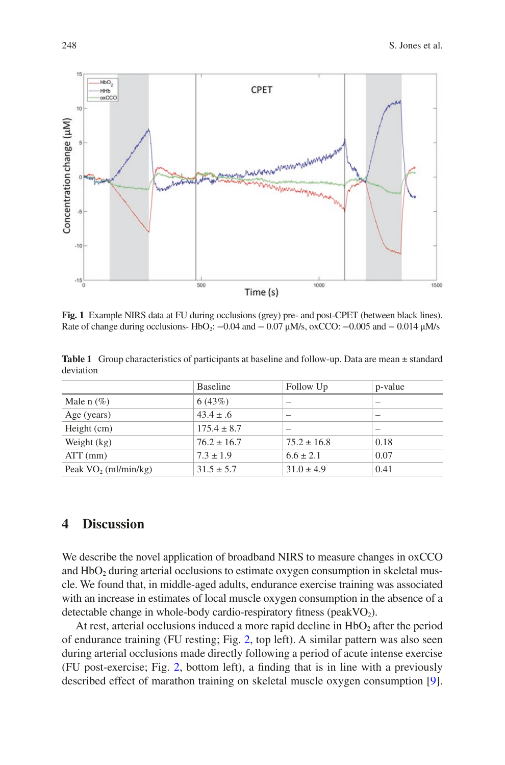1500

Time (s) **Fig. 1** Example NIRS data at FU during occlusions (grey) pre- and post-CPET (between black lines). Rate of change during occlusions- HbO<sub>2</sub>:  $-0.04$  and  $- 0.07$   $\mu$ M/s, oxCCO:  $-0.005$  and  $- 0.014$   $\mu$ M/s

1000

500

CPET

<span id="page-3-1"></span>Table 1 Group characteristics of participants at baseline and follow-up. Data are mean  $\pm$  standard deviation

|                         | <b>Baseline</b> | Follow Up       | p-value                  |
|-------------------------|-----------------|-----------------|--------------------------|
| Male $n$ (%)            | 6(43%)          | -               |                          |
| Age (years)             | $43.4 \pm .6$   | -               | $\overline{\phantom{a}}$ |
| Height (cm)             | $175.4 \pm 8.7$ | -               | -                        |
| Weight (kg)             | $76.2 \pm 16.7$ | $75.2 \pm 16.8$ | 0.18                     |
| $ATT$ (mm)              | $7.3 \pm 1.9$   | $6.6 \pm 2.1$   | 0.07                     |
| Peak $VO_2$ (ml/min/kg) | $31.5 \pm 5.7$  | $31.0 \pm 4.9$  | 0.41                     |

#### **4 Discussion**

We describe the novel application of broadband NIRS to measure changes in oxCCO and  $HbO<sub>2</sub>$  during arterial occlusions to estimate oxygen consumption in skeletal muscle. We found that, in middle-aged adults, endurance exercise training was associated with an increase in estimates of local muscle oxygen consumption in the absence of a detectable change in whole-body cardio-respiratory fitness (peakVO<sub>2</sub>).

At rest, arterial occlusions induced a more rapid decline in  $HbO<sub>2</sub>$  after the period of endurance training (FU resting; Fig. [2,](#page-4-0) top left). A similar pattern was also seen during arterial occlusions made directly following a period of acute intense exercise (FU post-exercise; Fig. [2](#page-4-0), bottom left), a finding that is in line with a previously described effect of marathon training on skeletal muscle oxygen consumption [[9\]](#page-6-2).

<span id="page-3-0"></span>

10

Concentration change (µM)

 $-10$ 

 $-15$ <sub>0</sub>

 $-HbO<sub>2</sub>$ 

- HH<sub>b</sub>  $\overline{\text{oxCCO}}$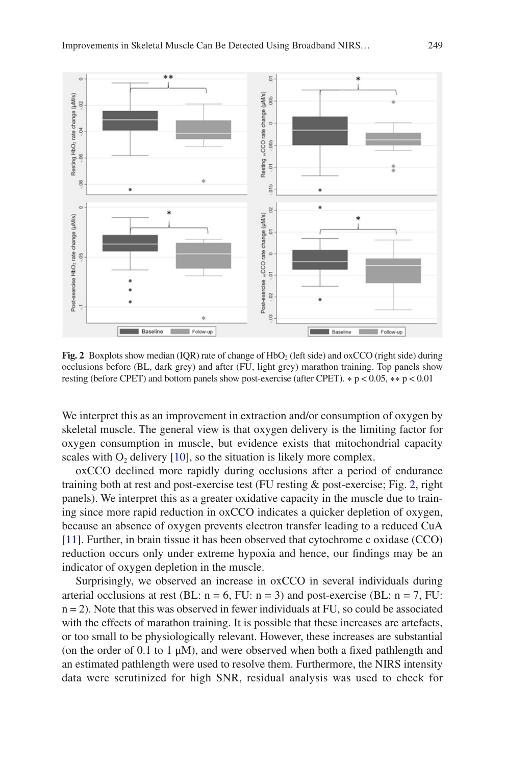<span id="page-4-0"></span>

Fig. 2 Boxplots show median (IQR) rate of change of HbO<sub>2</sub> (left side) and oxCCO (right side) during occlusions before (BL, dark grey) and after (FU, light grey) marathon training. Top panels show resting (before CPET) and bottom panels show post-exercise (after CPET).  $* p < 0.05$ ,  $** p < 0.01$ 

We interpret this as an improvement in extraction and/or consumption of oxygen by skeletal muscle. The general view is that oxygen delivery is the limiting factor for oxygen consumption in muscle, but evidence exists that mitochondrial capacity scales with  $O_2$  delivery [\[10](#page-6-3)], so the situation is likely more complex.

oxCCO declined more rapidly during occlusions after a period of endurance training both at rest and post-exercise test (FU resting & post-exercise; Fig. [2,](#page-4-0) right panels). We interpret this as a greater oxidative capacity in the muscle due to training since more rapid reduction in oxCCO indicates a quicker depletion of oxygen, because an absence of oxygen prevents electron transfer leading to a reduced CuA [\[11](#page-6-4)]. Further, in brain tissue it has been observed that cytochrome c oxidase (CCO) reduction occurs only under extreme hypoxia and hence, our findings may be an indicator of oxygen depletion in the muscle.

Surprisingly, we observed an increase in oxCCO in several individuals during arterial occlusions at rest (BL:  $n = 6$ , FU:  $n = 3$ ) and post-exercise (BL:  $n = 7$ , FU:  $n = 2$ ). Note that this was observed in fewer individuals at FU, so could be associated with the effects of marathon training. It is possible that these increases are artefacts, or too small to be physiologically relevant. However, these increases are substantial (on the order of 0.1 to 1 μM), and were observed when both a fixed pathlength and an estimated pathlength were used to resolve them. Furthermore, the NIRS intensity data were scrutinized for high SNR, residual analysis was used to check for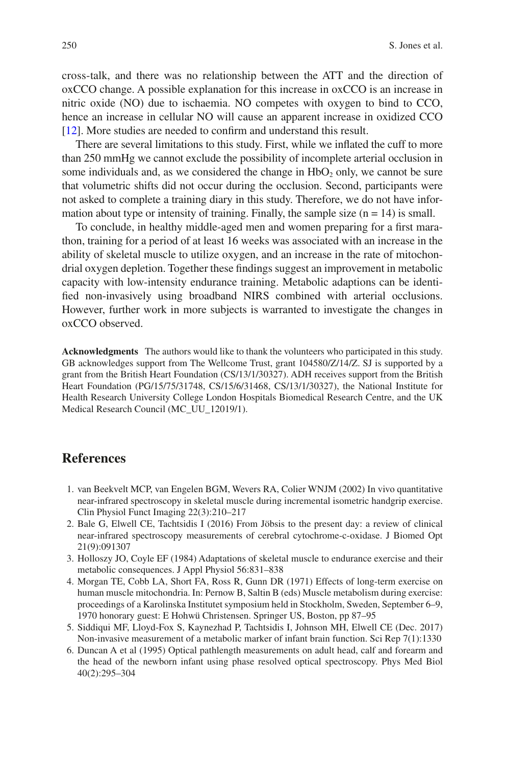cross-talk, and there was no relationship between the ATT and the direction of oxCCO change. A possible explanation for this increase in oxCCO is an increase in nitric oxide (NO) due to ischaemia. NO competes with oxygen to bind to CCO, hence an increase in cellular NO will cause an apparent increase in oxidized CCO [\[12](#page-6-5)]. More studies are needed to confirm and understand this result.

There are several limitations to this study. First, while we inflated the cuff to more than 250 mmHg we cannot exclude the possibility of incomplete arterial occlusion in some individuals and, as we considered the change in  $HbO<sub>2</sub>$  only, we cannot be sure that volumetric shifts did not occur during the occlusion. Second, participants were not asked to complete a training diary in this study. Therefore, we do not have information about type or intensity of training. Finally, the sample size  $(n = 14)$  is small.

To conclude, in healthy middle-aged men and women preparing for a first marathon, training for a period of at least 16 weeks was associated with an increase in the ability of skeletal muscle to utilize oxygen, and an increase in the rate of mitochondrial oxygen depletion. Together these findings suggest an improvement in metabolic capacity with low-intensity endurance training. Metabolic adaptions can be identified non-invasively using broadband NIRS combined with arterial occlusions. However, further work in more subjects is warranted to investigate the changes in oxCCO observed.

**Acknowledgments** The authors would like to thank the volunteers who participated in this study. GB acknowledges support from The Wellcome Trust, grant 104580/Z/14/Z. SJ is supported by a grant from the British Heart Foundation (CS/13/1/30327). ADH receives support from the British Heart Foundation (PG/15/75/31748, CS/15/6/31468, CS/13/1/30327), the National Institute for Health Research University College London Hospitals Biomedical Research Centre, and the UK Medical Research Council (MC\_UU\_12019/1).

## **References**

- <span id="page-5-0"></span>1. van Beekvelt MCP, van Engelen BGM, Wevers RA, Colier WNJM (2002) In vivo quantitative near-infrared spectroscopy in skeletal muscle during incremental isometric handgrip exercise. Clin Physiol Funct Imaging 22(3):210–217
- <span id="page-5-1"></span>2. Bale G, Elwell CE, Tachtsidis I (2016) From Jöbsis to the present day: a review of clinical near-infrared spectroscopy measurements of cerebral cytochrome-c-oxidase. J Biomed Opt 21(9):091307
- <span id="page-5-2"></span>3. Holloszy JO, Coyle EF (1984) Adaptations of skeletal muscle to endurance exercise and their metabolic consequences. J Appl Physiol 56:831–838
- <span id="page-5-3"></span>4. Morgan TE, Cobb LA, Short FA, Ross R, Gunn DR (1971) Effects of long-term exercise on human muscle mitochondria. In: Pernow B, Saltin B (eds) Muscle metabolism during exercise: proceedings of a Karolinska Institutet symposium held in Stockholm, Sweden, September 6–9, 1970 honorary guest: E Hohwü Christensen. Springer US, Boston, pp 87–95
- <span id="page-5-4"></span>5. Siddiqui MF, Lloyd-Fox S, Kaynezhad P, Tachtsidis I, Johnson MH, Elwell CE (Dec. 2017) Non-invasive measurement of a metabolic marker of infant brain function. Sci Rep 7(1):1330
- <span id="page-5-5"></span>6. Duncan A et al (1995) Optical pathlength measurements on adult head, calf and forearm and the head of the newborn infant using phase resolved optical spectroscopy. Phys Med Biol 40(2):295–304